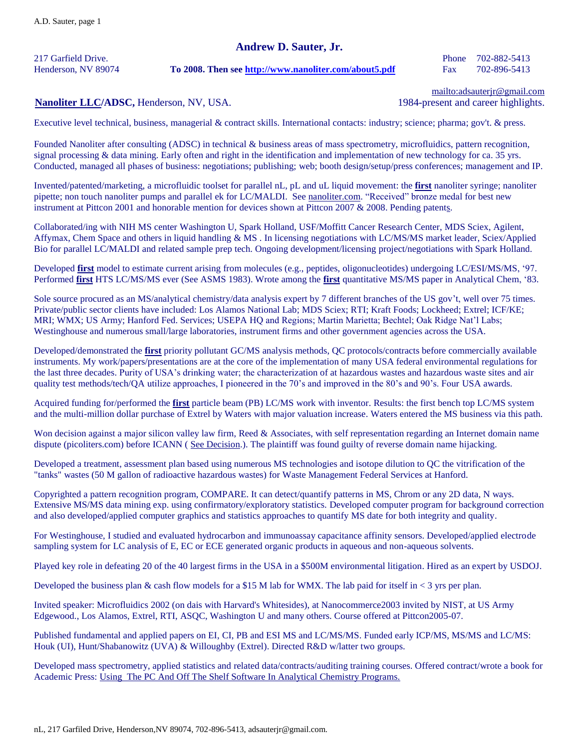## **Andrew D. Sauter, Jr.**

217 Garfield Drive. Phone 702-882-5413

#### Henderson, NV 89074 **To 2008. Then see<http://www.nanoliter.com/about5.pdf>** Fax 702-896-5413

[mailto:adsauterjr@gmail.com](mailto:asauter@aol.com)

### **[Nanoliter](http://www.nanoliter.com/) LLC/ADSC, Henderson, NV, USA.** 1984-present and career highlights.

Executive level technical, business, managerial & contract skills. International contacts: industry; science; pharma; gov't. & press.

Founded Nanoliter after consulting (ADSC) in technical & business areas of mass spectrometry, microfluidics, pattern recognition, signal processing & data mining. Early often and right in the identification and implementation of new technology for ca. 35 yrs. Conducted, managed all phases of business: negotiations; publishing; web; booth design/setup/press conferences; management and IP.

Invented/patented/marketing, a microfluidic toolset for parallel nL, pL and uL liquid movement: the **first** nanoliter syringe; nanoliter pipette; non touch nanoliter pumps and parallel ek for LC/MALDI. See [nanoliter.com.](http://www.nanoliter.com/) "Received" bronze medal for best new instrument at Pittcon 2001 and honorable mention for devices shown at Pittcon 2007 & 2008. Pending patents.

Collaborated/ing with NIH MS center Washington U, Spark Holland, USF/Moffitt Cancer Research Center, MDS Sciex, Agilent, Affymax, Chem Space and others in liquid handling & MS . In licensing negotiations with LC/MS/MS market leader, Sciex/Applied Bio for parallel LC/MALDI and related sample prep tech. Ongoing development/licensing project/negotiations with Spark Holland.

Developed **first** model to estimate current arising from molecules (e.g., peptides, oligonucleotides) undergoing LC/ESI/MS/MS, '97. Performed **first** HTS LC/MS/MS ever (See ASMS 1983). Wrote among the **first** quantitative MS/MS paper in Analytical Chem, '83.

Sole source procured as an MS/analytical chemistry/data analysis expert by 7 different branches of the US gov't, well over 75 times. Private/public sector clients have included: Los Alamos National Lab; MDS Sciex; RTI; Kraft Foods; Lockheed; Extrel; ICF/KE; MRI; WMX; US Army; Hanford Fed. Services; USEPA HQ and Regions; Martin Marietta; Bechtel; Oak Ridge Nat'l Labs; Westinghouse and numerous small/large laboratories, instrument firms and other government agencies across the USA.

Developed/demonstrated the **first** priority pollutant GC/MS analysis methods, QC protocols/contracts before commercially available instruments. My work/papers/presentations are at the core of the implementation of many USA federal environmental regulations for the last three decades. Purity of USA's drinking water; the characterization of at hazardous wastes and hazardous waste sites and air quality test methods/tech/QA utilize approaches, I pioneered in the 70's and improved in the 80's and 90's. Four USA awards.

Acquired funding for/performed the **first** particle beam (PB) LC/MS work with inventor. Results: the first bench top LC/MS system and the multi-million dollar purchase of Extrel by Waters with major valuation increase. Waters entered the MS business via this path.

Won decision against a major silicon valley law firm, Reed & Associates, with self representation regarding an Internet domain name dispute (picoliters.com) before ICANN ( [See Decision.](http://www.arb-forum.com/domains/decisions/122205.htm)). The plaintiff was found guilty of reverse domain name hijacking.

Developed a treatment, assessment plan based using numerous MS technologies and isotope dilution to QC the vitrification of the "tanks" wastes (50 M gallon of radioactive hazardous wastes) for Waste Management Federal Services at Hanford.

Copyrighted a pattern recognition program, COMPARE. It can detect/quantify patterns in MS, Chrom or any 2D data, N ways. Extensive MS/MS data mining exp. using confirmatory/exploratory statistics. Developed computer program for background correction and also developed/applied computer graphics and statistics approaches to quantify MS date for both integrity and quality.

For Westinghouse, I studied and evaluated hydrocarbon and immunoassay capacitance affinity sensors. Developed/applied electrode sampling system for LC analysis of E, EC or ECE generated organic products in aqueous and non-aqueous solvents.

Played key role in defeating 20 of the 40 largest firms in the USA in a \$500M environmental litigation. Hired as an expert by USDOJ.

Developed the business plan & cash flow models for a \$15 M lab for WMX. The lab paid for itself in  $\lt$  3 yrs per plan.

Invited speaker: Microfluidics 2002 (on dais with Harvard's Whitesides), at Nanocommerce2003 invited by NIST, at US Army Edgewood., Los Alamos, Extrel, RTI, ASQC, Washington U and many others. Course offered at Pittcon2005-07.

Published fundamental and applied papers on EI, CI, PB and ESI MS and LC/MS/MS. Funded early ICP/MS, MS/MS and LC/MS: Houk (UI), Hunt/Shabanowitz (UVA) & Willoughby (Extrel). Directed R&D w/latter two groups.

Developed mass spectrometry, applied statistics and related data/contracts/auditing training courses. Offered contract/wrote a book for Academic Press: Using The PC And Off The Shelf Software In Analytical Chemistry Programs.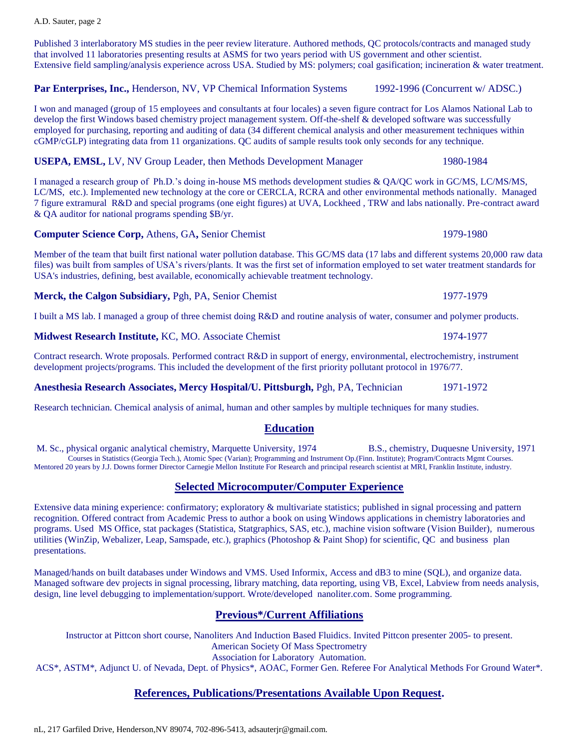#### A.D. Sauter, page 2

Published 3 interlaboratory MS studies in the peer review literature. Authored methods, QC protocols/contracts and managed study that involved 11 laboratories presenting results at ASMS for two years period with US government and other scientist. Extensive field sampling/analysis experience across USA. Studied by MS: polymers; coal gasification; incineration & water treatment.

Par Enterprises, Inc., Henderson, NV, VP Chemical Information Systems 1992-1996 (Concurrent w/ ADSC.)

I won and managed (group of 15 employees and consultants at four locales) a seven figure contract for Los Alamos National Lab to develop the first Windows based chemistry project management system. Off-the-shelf & developed software was successfully employed for purchasing, reporting and auditing of data (34 different chemical analysis and other measurement techniques within cGMP/cGLP) integrating data from 11 organizations. QC audits of sample results took only seconds for any technique.

**USEPA, EMSL, LV, NV Group Leader, then Methods Development Manager 1980-1984** 

I managed a research group of Ph.D.'s doing in-house MS methods development studies & QA/QC work in GC/MS, LC/MS/MS, LC/MS, etc.). Implemented new technology at the core or CERCLA, RCRA and other environmental methods nationally. Managed 7 figure extramural R&D and special programs (one eight figures) at UVA, Lockheed , TRW and labs nationally. Pre-contract award & QA auditor for national programs spending \$B/yr.

**Computer Science Corp, Athens, GA, Senior Chemist 1979-1980** 

Member of the team that built first national water pollution database. This GC/MS data (17 labs and different systems 20,000 raw data files) was built from samples of USA's rivers/plants. It was the first set of information employed to set water treatment standards for USA's industries, defining, best available, economically achievable treatment technology.

**Merck, the Calgon Subsidiary, Pgh, PA, Senior Chemist 1977-1979** 1977-1979

I built a MS lab. I managed a group of three chemist doing R&D and routine analysis of water, consumer and polymer products.

**Midwest Research Institute,** KC, MO. Associate Chemist 1974-1977

Contract research. Wrote proposals. Performed contract R&D in support of energy, environmental, electrochemistry, instrument development projects/programs. This included the development of the first priority pollutant protocol in 1976/77.

### **Anesthesia Research Associates, Mercy Hospital/U. Pittsburgh,** Pgh, PA, Technician 1971-1972

Research technician. Chemical analysis of animal, human and other samples by multiple techniques for many studies.

# **Education**

M. Sc., physical organic analytical chemistry, Marquette University, 1974 B.S., chemistry, Duquesne University, 1971 Courses in Statistics (Georgia Tech.), Atomic Spec (Varian); Programming and Instrument Op.(Finn. Institute); Program/Contracts Mgmt Courses. Mentored 20 years by J.J. Downs former Director Carnegie Mellon Institute For Research and principal research scientist at MRI, Franklin Institute, industry.

# **Selected Microcomputer/Computer Experience**

Extensive data mining experience: confirmatory; exploratory & multivariate statistics; published in signal processing and pattern recognition. Offered contract from Academic Press to author a book on using Windows applications in chemistry laboratories and programs. Used MS Office, stat packages (Statistica, Statgraphics, SAS, etc.), machine vision software (Vision Builder), numerous utilities (WinZip, Webalizer, Leap, Samspade, etc.), graphics (Photoshop & Paint Shop) for scientific, QC and business plan presentations.

Managed/hands on built databases under Windows and VMS. Used Informix, Access and dB3 to mine (SQL), and organize data. Managed software dev projects in signal processing, library matching, data reporting, using VB, Excel, Labview from needs analysis, design, line level debugging to implementation/support. Wrote/developed nanoliter.com. Some programming.

# **Previous\*/Current Affiliations**

Instructor at Pittcon short course, Nanoliters And Induction Based Fluidics. Invited Pittcon presenter 2005- to present. American Society Of Mass Spectrometry Association for Laboratory Automation. ACS\*, ASTM\*, Adjunct U. of Nevada, Dept. of Physics\*, AOAC, Former Gen. Referee For Analytical Methods For Ground Water\*.

# **References, Publications/Presentations Available Upon Request.**

nL, 217 Garfiled Drive, Henderson,NV 89074, 702-896-5413, adsauterjr@gmail.com.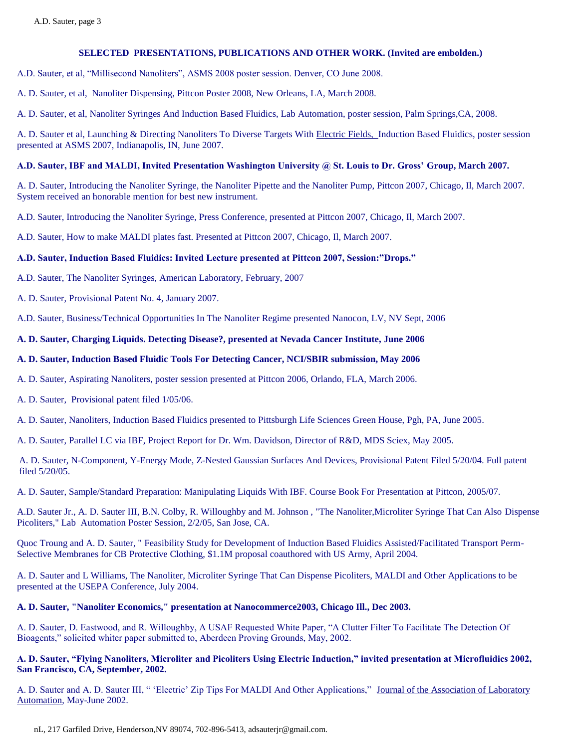A.D. Sauter, et al, "Millisecond Nanoliters", ASMS 2008 poster session. Denver, CO June 2008.

A. D. Sauter, et al, Nanoliter Dispensing, Pittcon Poster 2008, New Orleans, LA, March 2008.

A. D. Sauter, et al, Nanoliter Syringes And Induction Based Fluidics, Lab Automation, poster session, Palm Springs,CA, 2008.

A. D. Sauter et al, Launching & Directing Nanoliters To Diverse Targets With Electric Fields, Induction Based Fluidics, poster session presented at ASMS 2007, Indianapolis, IN, June 2007.

#### **A.D. Sauter, IBF and MALDI, Invited Presentation Washington University @ St. Louis to Dr. Gross' Group, March 2007.**

A. D. Sauter, Introducing the Nanoliter Syringe, the Nanoliter Pipette and the Nanoliter Pump, Pittcon 2007, Chicago, Il, March 2007. System received an honorable mention for best new instrument.

A.D. Sauter, Introducing the Nanoliter Syringe, Press Conference, presented at Pittcon 2007, Chicago, Il, March 2007.

A.D. Sauter, How to make MALDI plates fast. Presented at Pittcon 2007, Chicago, Il, March 2007.

#### **A.D. Sauter, Induction Based Fluidics: Invited Lecture presented at Pittcon 2007, Session:"Drops."**

A.D. Sauter, The Nanoliter Syringes, American Laboratory, February, 2007

A. D. Sauter, Provisional Patent No. 4, January 2007.

A.D. Sauter, Business/Technical Opportunities In The Nanoliter Regime presented Nanocon, LV, NV Sept, 2006

#### **A. D. Sauter, Charging Liquids. Detecting Disease?, presented at Nevada Cancer Institute, June 2006**

#### **A. D. Sauter, Induction Based Fluidic Tools For Detecting Cancer, NCI/SBIR submission, May 2006**

A. D. Sauter, Aspirating Nanoliters, poster session presented at Pittcon 2006, Orlando, FLA, March 2006.

A. D. Sauter, Provisional patent filed 1/05/06.

A. D. Sauter, Nanoliters, Induction Based Fluidics presented to Pittsburgh Life Sciences Green House, Pgh, PA, June 2005.

A. D. Sauter, Parallel LC via IBF, Project Report for Dr. Wm. Davidson, Director of R&D, MDS Sciex, May 2005.

A. D. Sauter, N-Component, Y-Energy Mode, Z-Nested Gaussian Surfaces And Devices, Provisional Patent Filed 5/20/04. Full patent filed 5/20/05.

A. D. Sauter, Sample/Standard Preparation: Manipulating Liquids With IBF. Course Book For Presentation at Pittcon, 2005/07.

A.D. Sauter Jr., A. D. Sauter III, B.N. Colby, R. Willoughby and M. Johnson , "The Nanoliter,Microliter Syringe That Can Also Dispense Picoliters," Lab Automation Poster Session, 2/2/05, San Jose, CA.

Quoc Troung and A. D. Sauter, " Feasibility Study for Development of Induction Based Fluidics Assisted/Facilitated Transport Perm-Selective Membranes for CB Protective Clothing, \$1.1M proposal coauthored with US Army, April 2004.

A. D. Sauter and L Williams, The Nanoliter, Microliter Syringe That Can Dispense Picoliters, MALDI and Other Applications to be presented at the USEPA Conference, July 2004.

#### **A. D. Sauter, "Nanoliter Economics," presentation at Nanocommerce2003, Chicago Ill., Dec 2003.**

A. D. Sauter, D. Eastwood, and R. Willoughby, A USAF Requested White Paper, "A Clutter Filter To Facilitate The Detection Of Bioagents," solicited whiter paper submitted to, Aberdeen Proving Grounds, May, 2002.

#### **A. D. Sauter, "Flying Nanoliters, Microliter and Picoliters Using Electric Induction," invited presentation at Microfluidics 2002, San Francisco, CA, September, 2002.**

A. D. Sauter and A. D. Sauter III, " 'Electric' Zip Tips For MALDI And Other Applications," Journal of the Association of Laboratory Automation, May-June 2002.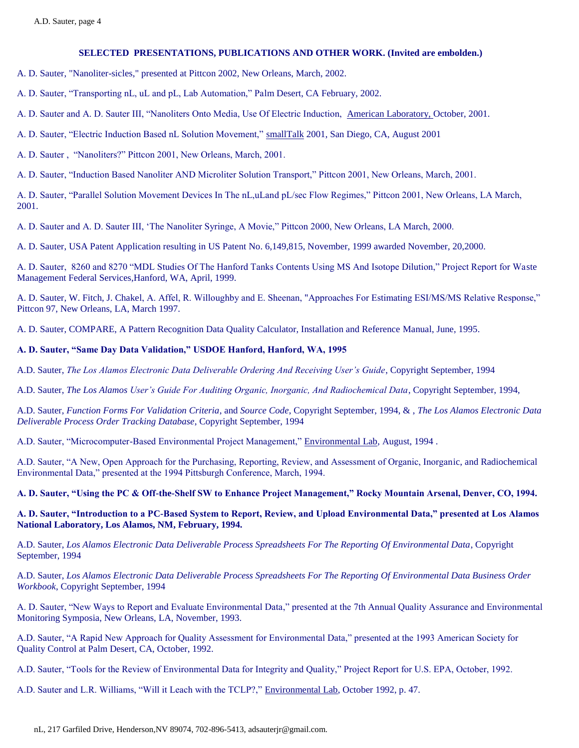- A. D. Sauter, "Nanoliter-sicles," presented at Pittcon 2002, New Orleans, March, 2002.
- A. D. Sauter, "Transporting nL, uL and pL, Lab Automation," Palm Desert, CA February, 2002.
- A. D. Sauter and A. D. Sauter III, "Nanoliters Onto Media, Use Of Electric Induction, American Laboratory, October, 2001.
- A. D. Sauter, "Electric Induction Based nL Solution Movement," smallTalk 2001, San Diego, CA, August 2001
- A. D. Sauter , "Nanoliters?" Pittcon 2001, New Orleans, March, 2001.
- A. D. Sauter, "Induction Based Nanoliter AND Microliter Solution Transport," Pittcon 2001, New Orleans, March, 2001.

A. D. Sauter, "Parallel Solution Movement Devices In The nL,uLand pL/sec Flow Regimes," Pittcon 2001, New Orleans, LA March, 2001.

A. D. Sauter and A. D. Sauter III, 'The Nanoliter Syringe, A Movie," Pittcon 2000, New Orleans, LA March, 2000.

A. D. Sauter, USA Patent Application resulting in US Patent No. 6,149,815, November, 1999 awarded November, 20,2000.

A. D. Sauter, 8260 and 8270 "MDL Studies Of The Hanford Tanks Contents Using MS And Isotope Dilution," Project Report for Waste Management Federal Services,Hanford, WA, April, 1999.

A. D. Sauter, W. Fitch, J. Chakel, A. Affel, R. Willoughby and E. Sheenan, "Approaches For Estimating ESI/MS/MS Relative Response," Pittcon 97, New Orleans, LA, March 1997.

A. D. Sauter, COMPARE, A Pattern Recognition Data Quality Calculator, Installation and Reference Manual, June, 1995.

#### **A. D. Sauter, "Same Day Data Validation," USDOE Hanford, Hanford, WA, 1995**

A.D. Sauter, *The Los Alamos Electronic Data Deliverable Ordering And Receiving User's Guide*, Copyright September, 1994

A.D. Sauter, *The Los Alamos User's Guide For Auditing Organic, Inorganic, And Radiochemical Data*, Copyright September, 1994,

A.D. Sauter, *Function Forms For Validation Criteria*, and *Source Code*, Copyright September, 1994, & , *The Los Alamos Electronic Data Deliverable Process Order Tracking Database*, Copyright September, 1994

A.D. Sauter, "Microcomputer-Based Environmental Project Management," Environmental Lab, August, 1994.

A.D. Sauter, "A New, Open Approach for the Purchasing, Reporting, Review, and Assessment of Organic, Inorganic, and Radiochemical Environmental Data," presented at the 1994 Pittsburgh Conference, March, 1994.

#### **A. D. Sauter, "Using the PC & Off-the-Shelf SW to Enhance Project Management," Rocky Mountain Arsenal, Denver, CO, 1994.**

**A. D. Sauter, "Introduction to a PC-Based System to Report, Review, and Upload Environmental Data," presented at Los Alamos National Laboratory, Los Alamos, NM, February, 1994.**

A.D. Sauter, *Los Alamos Electronic Data Deliverable Process Spreadsheets For The Reporting Of Environmental Data*, Copyright September, 1994

A.D. Sauter, *Los Alamos Electronic Data Deliverable Process Spreadsheets For The Reporting Of Environmental Data Business Order Workbook*, Copyright September, 1994

A. D. Sauter, "New Ways to Report and Evaluate Environmental Data," presented at the 7th Annual Quality Assurance and Environmental Monitoring Symposia, New Orleans, LA, November, 1993.

A.D. Sauter, "A Rapid New Approach for Quality Assessment for Environmental Data," presented at the 1993 American Society for Quality Control at Palm Desert, CA, October, 1992.

A.D. Sauter, "Tools for the Review of Environmental Data for Integrity and Quality," Project Report for U.S. EPA, October, 1992.

A.D. Sauter and L.R. Williams, "Will it Leach with the TCLP?," Environmental Lab, October 1992, p. 47.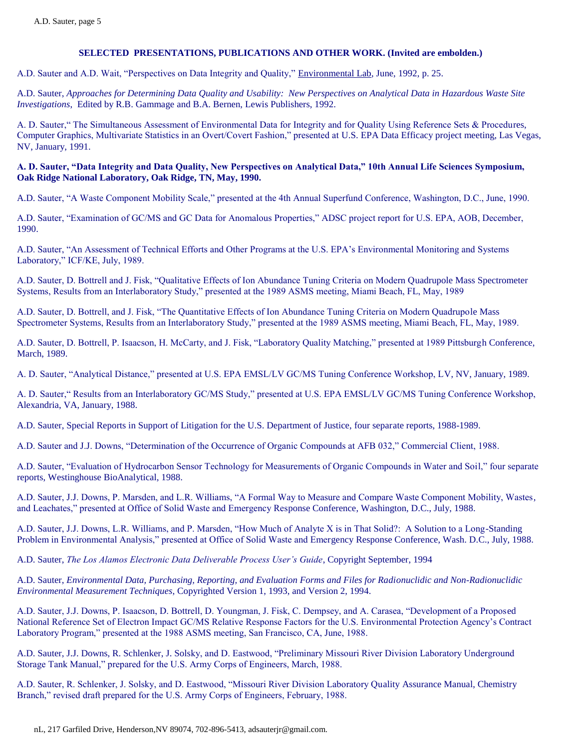A.D. Sauter and A.D. Wait, "Perspectives on Data Integrity and Quality," Environmental Lab, June, 1992, p. 25.

A.D. Sauter, *Approaches for Determining Data Quality and Usability: New Perspectives on Analytical Data in Hazardous Waste Site Investigations*, Edited by R.B. Gammage and B.A. Bernen, Lewis Publishers, 1992.

A. D. Sauter," The Simultaneous Assessment of Environmental Data for Integrity and for Quality Using Reference Sets & Procedures, Computer Graphics, Multivariate Statistics in an Overt/Covert Fashion," presented at U.S. EPA Data Efficacy project meeting, Las Vegas, NV, January, 1991.

#### **A. D. Sauter, "Data Integrity and Data Quality, New Perspectives on Analytical Data," 10th Annual Life Sciences Symposium, Oak Ridge National Laboratory, Oak Ridge, TN, May, 1990.**

A.D. Sauter, "A Waste Component Mobility Scale," presented at the 4th Annual Superfund Conference, Washington, D.C., June, 1990.

A.D. Sauter, "Examination of GC/MS and GC Data for Anomalous Properties," ADSC project report for U.S. EPA, AOB, December, 1990.

A.D. Sauter, "An Assessment of Technical Efforts and Other Programs at the U.S. EPA's Environmental Monitoring and Systems Laboratory," ICF/KE, July, 1989.

A.D. Sauter, D. Bottrell and J. Fisk, "Qualitative Effects of Ion Abundance Tuning Criteria on Modern Quadrupole Mass Spectrometer Systems, Results from an Interlaboratory Study," presented at the 1989 ASMS meeting, Miami Beach, FL, May, 1989

A.D. Sauter, D. Bottrell, and J. Fisk, "The Quantitative Effects of Ion Abundance Tuning Criteria on Modern Quadrupole Mass Spectrometer Systems, Results from an Interlaboratory Study," presented at the 1989 ASMS meeting, Miami Beach, FL, May, 1989.

A.D. Sauter, D. Bottrell, P. Isaacson, H. McCarty, and J. Fisk, "Laboratory Quality Matching," presented at 1989 Pittsburgh Conference, March, 1989.

A. D. Sauter, "Analytical Distance," presented at U.S. EPA EMSL/LV GC/MS Tuning Conference Workshop, LV, NV, January, 1989.

A. D. Sauter," Results from an Interlaboratory GC/MS Study," presented at U.S. EPA EMSL/LV GC/MS Tuning Conference Workshop, Alexandria, VA, January, 1988.

A.D. Sauter, Special Reports in Support of Litigation for the U.S. Department of Justice, four separate reports, 1988-1989.

A.D. Sauter and J.J. Downs, "Determination of the Occurrence of Organic Compounds at AFB 032," Commercial Client, 1988.

A.D. Sauter, "Evaluation of Hydrocarbon Sensor Technology for Measurements of Organic Compounds in Water and Soil," four separate reports, Westinghouse BioAnalytical, 1988.

A.D. Sauter, J.J. Downs, P. Marsden, and L.R. Williams, "A Formal Way to Measure and Compare Waste Component Mobility, Wastes, and Leachates," presented at Office of Solid Waste and Emergency Response Conference, Washington, D.C., July, 1988.

A.D. Sauter, J.J. Downs, L.R. Williams, and P. Marsden, "How Much of Analyte X is in That Solid?: A Solution to a Long-Standing Problem in Environmental Analysis," presented at Office of Solid Waste and Emergency Response Conference, Wash. D.C., July, 1988.

A.D. Sauter, *The Los Alamos Electronic Data Deliverable Process User's Guide*, Copyright September, 1994

A.D. Sauter, *Environmental Data, Purchasing, Reporting, and Evaluation Forms and Files for Radionuclidic and Non-Radionuclidic Environmental Measurement Techniques*, Copyrighted Version 1, 1993, and Version 2, 1994.

A.D. Sauter, J.J. Downs, P. Isaacson, D. Bottrell, D. Youngman, J. Fisk, C. Dempsey, and A. Carasea, "Development of a Proposed National Reference Set of Electron Impact GC/MS Relative Response Factors for the U.S. Environmental Protection Agency's Contract Laboratory Program," presented at the 1988 ASMS meeting, San Francisco, CA, June, 1988.

A.D. Sauter, J.J. Downs, R. Schlenker, J. Solsky, and D. Eastwood, "Preliminary Missouri River Division Laboratory Underground Storage Tank Manual," prepared for the U.S. Army Corps of Engineers, March, 1988.

A.D. Sauter, R. Schlenker, J. Solsky, and D. Eastwood, "Missouri River Division Laboratory Quality Assurance Manual, Chemistry Branch," revised draft prepared for the U.S. Army Corps of Engineers, February, 1988.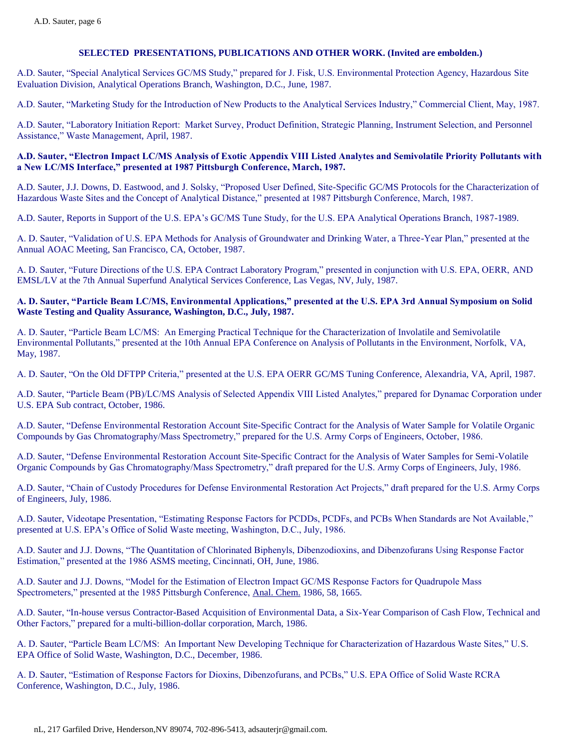A.D. Sauter, "Special Analytical Services GC/MS Study," prepared for J. Fisk, U.S. Environmental Protection Agency, Hazardous Site Evaluation Division, Analytical Operations Branch, Washington, D.C., June, 1987.

A.D. Sauter, "Marketing Study for the Introduction of New Products to the Analytical Services Industry," Commercial Client, May, 1987.

A.D. Sauter, "Laboratory Initiation Report: Market Survey, Product Definition, Strategic Planning, Instrument Selection, and Personnel Assistance," Waste Management, April, 1987.

#### **A.D. Sauter, "Electron Impact LC/MS Analysis of Exotic Appendix VIII Listed Analytes and Semivolatile Priority Pollutants with a New LC/MS Interface," presented at 1987 Pittsburgh Conference, March, 1987.**

A.D. Sauter, J.J. Downs, D. Eastwood, and J. Solsky, "Proposed User Defined, Site-Specific GC/MS Protocols for the Characterization of Hazardous Waste Sites and the Concept of Analytical Distance," presented at 1987 Pittsburgh Conference, March, 1987.

A.D. Sauter, Reports in Support of the U.S. EPA's GC/MS Tune Study, for the U.S. EPA Analytical Operations Branch, 1987-1989.

A. D. Sauter, "Validation of U.S. EPA Methods for Analysis of Groundwater and Drinking Water, a Three-Year Plan," presented at the Annual AOAC Meeting, San Francisco, CA, October, 1987.

A. D. Sauter, "Future Directions of the U.S. EPA Contract Laboratory Program," presented in conjunction with U.S. EPA, OERR, AND EMSL/LV at the 7th Annual Superfund Analytical Services Conference, Las Vegas, NV, July, 1987.

#### **A. D. Sauter, "Particle Beam LC/MS, Environmental Applications," presented at the U.S. EPA 3rd Annual Symposium on Solid Waste Testing and Quality Assurance, Washington, D.C., July, 1987.**

A. D. Sauter, "Particle Beam LC/MS: An Emerging Practical Technique for the Characterization of Involatile and Semivolatile Environmental Pollutants," presented at the 10th Annual EPA Conference on Analysis of Pollutants in the Environment, Norfolk, VA, May, 1987.

A. D. Sauter, "On the Old DFTPP Criteria," presented at the U.S. EPA OERR GC/MS Tuning Conference, Alexandria, VA, April, 1987.

A.D. Sauter, "Particle Beam (PB)/LC/MS Analysis of Selected Appendix VIII Listed Analytes," prepared for Dynamac Corporation under U.S. EPA Sub contract, October, 1986.

A.D. Sauter, "Defense Environmental Restoration Account Site-Specific Contract for the Analysis of Water Sample for Volatile Organic Compounds by Gas Chromatography/Mass Spectrometry," prepared for the U.S. Army Corps of Engineers, October, 1986.

A.D. Sauter, "Defense Environmental Restoration Account Site-Specific Contract for the Analysis of Water Samples for Semi-Volatile Organic Compounds by Gas Chromatography/Mass Spectrometry," draft prepared for the U.S. Army Corps of Engineers, July, 1986.

A.D. Sauter, "Chain of Custody Procedures for Defense Environmental Restoration Act Projects," draft prepared for the U.S. Army Corps of Engineers, July, 1986.

A.D. Sauter, Videotape Presentation, "Estimating Response Factors for PCDDs, PCDFs, and PCBs When Standards are Not Available," presented at U.S. EPA's Office of Solid Waste meeting, Washington, D.C., July, 1986.

A.D. Sauter and J.J. Downs, "The Quantitation of Chlorinated Biphenyls, Dibenzodioxins, and Dibenzofurans Using Response Factor Estimation," presented at the 1986 ASMS meeting, Cincinnati, OH, June, 1986.

A.D. Sauter and J.J. Downs, "Model for the Estimation of Electron Impact GC/MS Response Factors for Quadrupole Mass Spectrometers," presented at the 1985 Pittsburgh Conference, Anal. Chem. 1986, 58, 1665.

A.D. Sauter, "In-house versus Contractor-Based Acquisition of Environmental Data, a Six-Year Comparison of Cash Flow, Technical and Other Factors," prepared for a multi-billion-dollar corporation, March, 1986.

A. D. Sauter, "Particle Beam LC/MS: An Important New Developing Technique for Characterization of Hazardous Waste Sites," U.S. EPA Office of Solid Waste, Washington, D.C., December, 1986.

A. D. Sauter, "Estimation of Response Factors for Dioxins, Dibenzofurans, and PCBs," U.S. EPA Office of Solid Waste RCRA Conference, Washington, D.C., July, 1986.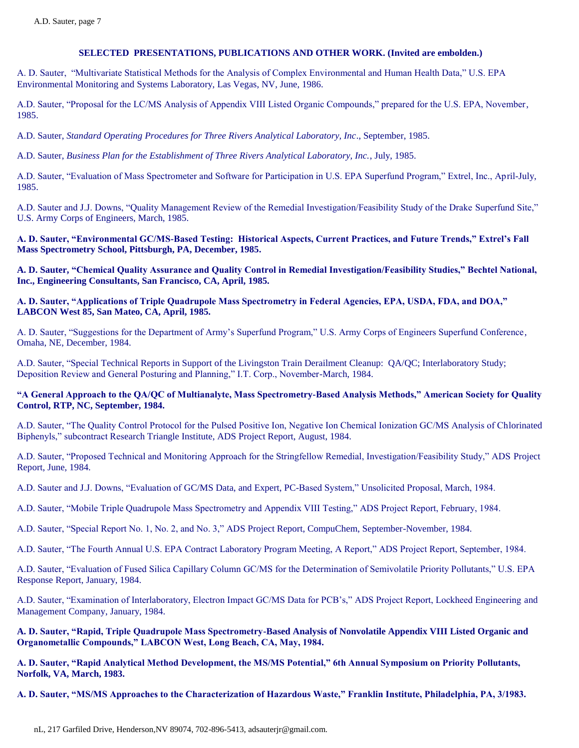A. D. Sauter, "Multivariate Statistical Methods for the Analysis of Complex Environmental and Human Health Data," U.S. EPA Environmental Monitoring and Systems Laboratory, Las Vegas, NV, June, 1986.

A.D. Sauter, "Proposal for the LC/MS Analysis of Appendix VIII Listed Organic Compounds," prepared for the U.S. EPA, November, 1985.

A.D. Sauter, *Standard Operating Procedures for Three Rivers Analytical Laboratory, Inc*., September, 1985.

A.D. Sauter, *Business Plan for the Establishment of Three Rivers Analytical Laboratory, Inc.*, July, 1985.

A.D. Sauter, "Evaluation of Mass Spectrometer and Software for Participation in U.S. EPA Superfund Program," Extrel, Inc., April-July, 1985.

A.D. Sauter and J.J. Downs, "Quality Management Review of the Remedial Investigation/Feasibility Study of the Drake Superfund Site," U.S. Army Corps of Engineers, March, 1985.

**A. D. Sauter, "Environmental GC/MS-Based Testing: Historical Aspects, Current Practices, and Future Trends," Extrel's Fall Mass Spectrometry School, Pittsburgh, PA, December, 1985.**

**A. D. Sauter, "Chemical Quality Assurance and Quality Control in Remedial Investigation/Feasibility Studies," Bechtel National, Inc., Engineering Consultants, San Francisco, CA, April, 1985.**

#### **A. D. Sauter, "Applications of Triple Quadrupole Mass Spectrometry in Federal Agencies, EPA, USDA, FDA, and DOA," LABCON West 85, San Mateo, CA, April, 1985.**

A. D. Sauter, "Suggestions for the Department of Army's Superfund Program," U.S. Army Corps of Engineers Superfund Conference, Omaha, NE, December, 1984.

A.D. Sauter, "Special Technical Reports in Support of the Livingston Train Derailment Cleanup: QA/QC; Interlaboratory Study; Deposition Review and General Posturing and Planning," I.T. Corp., November-March, 1984.

#### **"A General Approach to the QA/QC of Multianalyte, Mass Spectrometry-Based Analysis Methods," American Society for Quality Control, RTP, NC, September, 1984.**

A.D. Sauter, "The Quality Control Protocol for the Pulsed Positive Ion, Negative Ion Chemical Ionization GC/MS Analysis of Chlorinated Biphenyls," subcontract Research Triangle Institute, ADS Project Report, August, 1984.

A.D. Sauter, "Proposed Technical and Monitoring Approach for the Stringfellow Remedial, Investigation/Feasibility Study," ADS Project Report, June, 1984.

A.D. Sauter and J.J. Downs, "Evaluation of GC/MS Data, and Expert, PC-Based System," Unsolicited Proposal, March, 1984.

A.D. Sauter, "Mobile Triple Quadrupole Mass Spectrometry and Appendix VIII Testing," ADS Project Report, February, 1984.

A.D. Sauter, "Special Report No. 1, No. 2, and No. 3," ADS Project Report, CompuChem, September-November, 1984.

A.D. Sauter, "The Fourth Annual U.S. EPA Contract Laboratory Program Meeting, A Report," ADS Project Report, September, 1984.

A.D. Sauter, "Evaluation of Fused Silica Capillary Column GC/MS for the Determination of Semivolatile Priority Pollutants," U.S. EPA Response Report, January, 1984.

A.D. Sauter, "Examination of Interlaboratory, Electron Impact GC/MS Data for PCB's," ADS Project Report, Lockheed Engineering and Management Company, January, 1984.

**A. D. Sauter, "Rapid, Triple Quadrupole Mass Spectrometry-Based Analysis of Nonvolatile Appendix VIII Listed Organic and Organometallic Compounds," LABCON West, Long Beach, CA, May, 1984.**

**A. D. Sauter, "Rapid Analytical Method Development, the MS/MS Potential," 6th Annual Symposium on Priority Pollutants, Norfolk, VA, March, 1983.**

**A. D. Sauter, "MS/MS Approaches to the Characterization of Hazardous Waste," Franklin Institute, Philadelphia, PA, 3/1983.**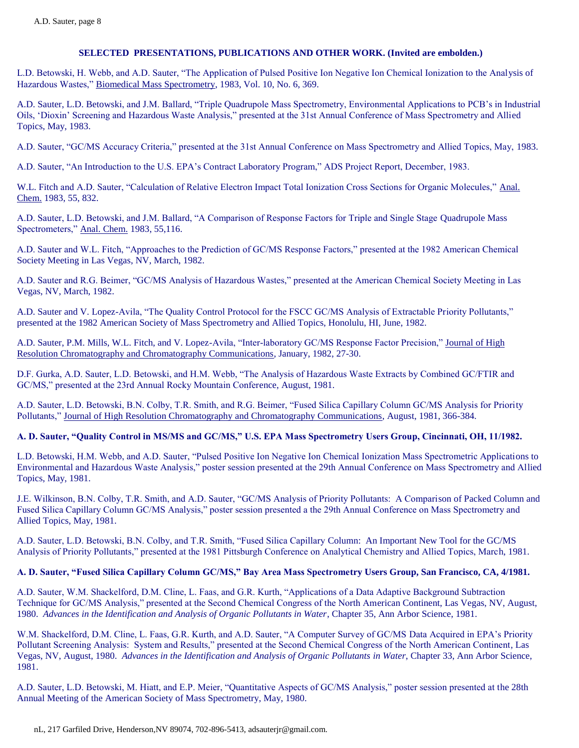L.D. Betowski, H. Webb, and A.D. Sauter, "The Application of Pulsed Positive Ion Negative Ion Chemical Ionization to the Analysis of Hazardous Wastes," Biomedical Mass Spectrometry, 1983, Vol. 10, No. 6, 369.

A.D. Sauter, L.D. Betowski, and J.M. Ballard, "Triple Quadrupole Mass Spectrometry, Environmental Applications to PCB's in Industrial Oils, 'Dioxin' Screening and Hazardous Waste Analysis," presented at the 31st Annual Conference of Mass Spectrometry and Allied Topics, May, 1983.

A.D. Sauter, "GC/MS Accuracy Criteria," presented at the 31st Annual Conference on Mass Spectrometry and Allied Topics, May, 1983.

A.D. Sauter, "An Introduction to the U.S. EPA's Contract Laboratory Program," ADS Project Report, December, 1983.

W.L. Fitch and A.D. Sauter, "Calculation of Relative Electron Impact Total Ionization Cross Sections for Organic Molecules," Anal. Chem. 1983, 55, 832.

A.D. Sauter, L.D. Betowski, and J.M. Ballard, "A Comparison of Response Factors for Triple and Single Stage Quadrupole Mass Spectrometers," Anal. Chem. 1983, 55,116.

A.D. Sauter and W.L. Fitch, "Approaches to the Prediction of GC/MS Response Factors," presented at the 1982 American Chemical Society Meeting in Las Vegas, NV, March, 1982.

A.D. Sauter and R.G. Beimer, "GC/MS Analysis of Hazardous Wastes," presented at the American Chemical Society Meeting in Las Vegas, NV, March, 1982.

A.D. Sauter and V. Lopez-Avila, "The Quality Control Protocol for the FSCC GC/MS Analysis of Extractable Priority Pollutants," presented at the 1982 American Society of Mass Spectrometry and Allied Topics, Honolulu, HI, June, 1982.

A.D. Sauter, P.M. Mills, W.L. Fitch, and V. Lopez-Avila, "Inter-laboratory GC/MS Response Factor Precision," Journal of High Resolution Chromatography and Chromatography Communications, January, 1982, 27-30.

D.F. Gurka, A.D. Sauter, L.D. Betowski, and H.M. Webb, "The Analysis of Hazardous Waste Extracts by Combined GC/FTIR and GC/MS," presented at the 23rd Annual Rocky Mountain Conference, August, 1981.

A.D. Sauter, L.D. Betowski, B.N. Colby, T.R. Smith, and R.G. Beimer, "Fused Silica Capillary Column GC/MS Analysis for Priority Pollutants," Journal of High Resolution Chromatography and Chromatography Communications, August, 1981, 366-384.

### **A. D. Sauter, "Quality Control in MS/MS and GC/MS," U.S. EPA Mass Spectrometry Users Group, Cincinnati, OH, 11/1982.**

L.D. Betowski, H.M. Webb, and A.D. Sauter, "Pulsed Positive Ion Negative Ion Chemical Ionization Mass Spectrometric Applications to Environmental and Hazardous Waste Analysis," poster session presented at the 29th Annual Conference on Mass Spectrometry and Allied Topics, May, 1981.

J.E. Wilkinson, B.N. Colby, T.R. Smith, and A.D. Sauter, "GC/MS Analysis of Priority Pollutants: A Comparison of Packed Column and Fused Silica Capillary Column GC/MS Analysis," poster session presented a the 29th Annual Conference on Mass Spectrometry and Allied Topics, May, 1981.

A.D. Sauter, L.D. Betowski, B.N. Colby, and T.R. Smith, "Fused Silica Capillary Column: An Important New Tool for the GC/MS Analysis of Priority Pollutants," presented at the 1981 Pittsburgh Conference on Analytical Chemistry and Allied Topics, March, 1981.

#### **A. D. Sauter, "Fused Silica Capillary Column GC/MS," Bay Area Mass Spectrometry Users Group, San Francisco, CA, 4/1981.**

A.D. Sauter, W.M. Shackelford, D.M. Cline, L. Faas, and G.R. Kurth, "Applications of a Data Adaptive Background Subtraction Technique for GC/MS Analysis," presented at the Second Chemical Congress of the North American Continent, Las Vegas, NV, August, 1980. *Advances in the Identification and Analysis of Organic Pollutants in Water*, Chapter 35, Ann Arbor Science, 1981.

W.M. Shackelford, D.M. Cline, L. Faas, G.R. Kurth, and A.D. Sauter, "A Computer Survey of GC/MS Data Acquired in EPA's Priority Pollutant Screening Analysis: System and Results," presented at the Second Chemical Congress of the North American Continent, Las Vegas, NV, August, 1980. *Advances in the Identification and Analysis of Organic Pollutants in Water*, Chapter 33, Ann Arbor Science, 1981.

A.D. Sauter, L.D. Betowski, M. Hiatt, and E.P. Meier, "Quantitative Aspects of GC/MS Analysis," poster session presented at the 28th Annual Meeting of the American Society of Mass Spectrometry, May, 1980.